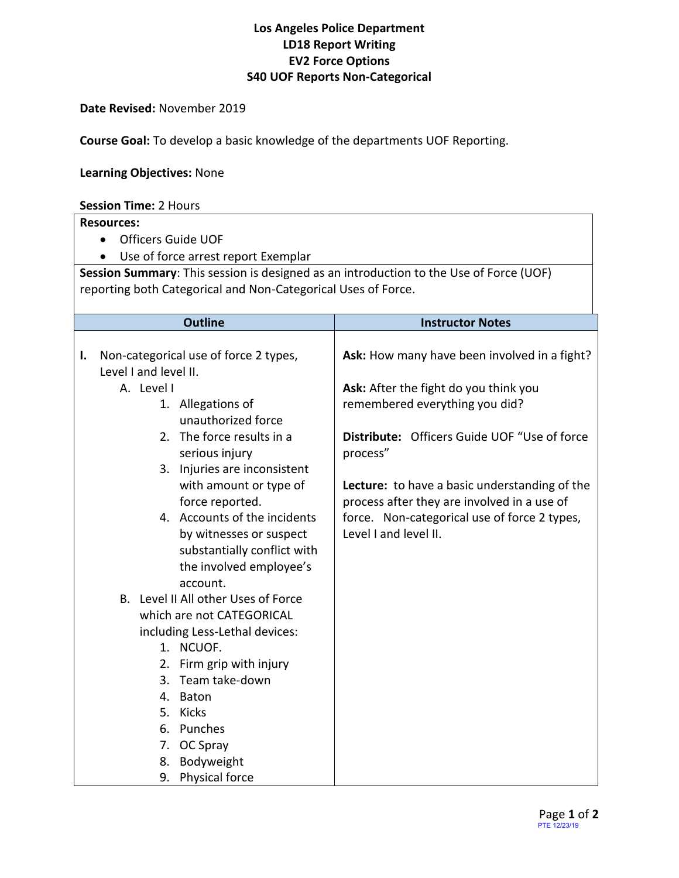# **Los Angeles Police Department LD18 Report Writing EV2 Force Options S40 UOF Reports Non-Categorical**

## **Date Revised:** November 2019

**Course Goal:** To develop a basic knowledge of the departments UOF Reporting.

## **Learning Objectives:** None

#### **Session Time:** 2 Hours

## **Resources:**

- Officers Guide UOF
- Use of force arrest report Exemplar

**Session Summary**: This session is designed as an introduction to the Use of Force (UOF) reporting both Categorical and Non-Categorical Uses of Force.

|                                | <b>Outline</b>                                         | <b>Instructor Notes</b>                              |
|--------------------------------|--------------------------------------------------------|------------------------------------------------------|
|                                |                                                        |                                                      |
| Ι.                             | Non-categorical use of force 2 types,                  | Ask: How many have been involved in a fight?         |
|                                | Level I and level II.                                  |                                                      |
|                                | A. Level I                                             | Ask: After the fight do you think you                |
|                                | 1. Allegations of                                      | remembered everything you did?                       |
|                                | unauthorized force                                     |                                                      |
|                                | 2. The force results in a                              | Distribute: Officers Guide UOF "Use of force         |
|                                | serious injury                                         | process"                                             |
|                                | 3. Injuries are inconsistent                           |                                                      |
|                                | with amount or type of                                 | <b>Lecture:</b> to have a basic understanding of the |
|                                | force reported.                                        | process after they are involved in a use of          |
|                                | 4. Accounts of the incidents                           | force. Non-categorical use of force 2 types,         |
|                                | by witnesses or suspect                                | Level I and level II.                                |
|                                | substantially conflict with<br>the involved employee's |                                                      |
|                                | account.                                               |                                                      |
|                                | B. Level II All other Uses of Force                    |                                                      |
| which are not CATEGORICAL      |                                                        |                                                      |
| including Less-Lethal devices: |                                                        |                                                      |
|                                | 1. NCUOF.                                              |                                                      |
|                                | 2. Firm grip with injury                               |                                                      |
|                                | Team take-down<br>3.                                   |                                                      |
|                                | Baton<br>4.                                            |                                                      |
|                                | 5. Kicks                                               |                                                      |
|                                | Punches<br>6.                                          |                                                      |
|                                | 7. OC Spray                                            |                                                      |
|                                | Bodyweight<br>8.                                       |                                                      |
|                                | 9. Physical force                                      |                                                      |